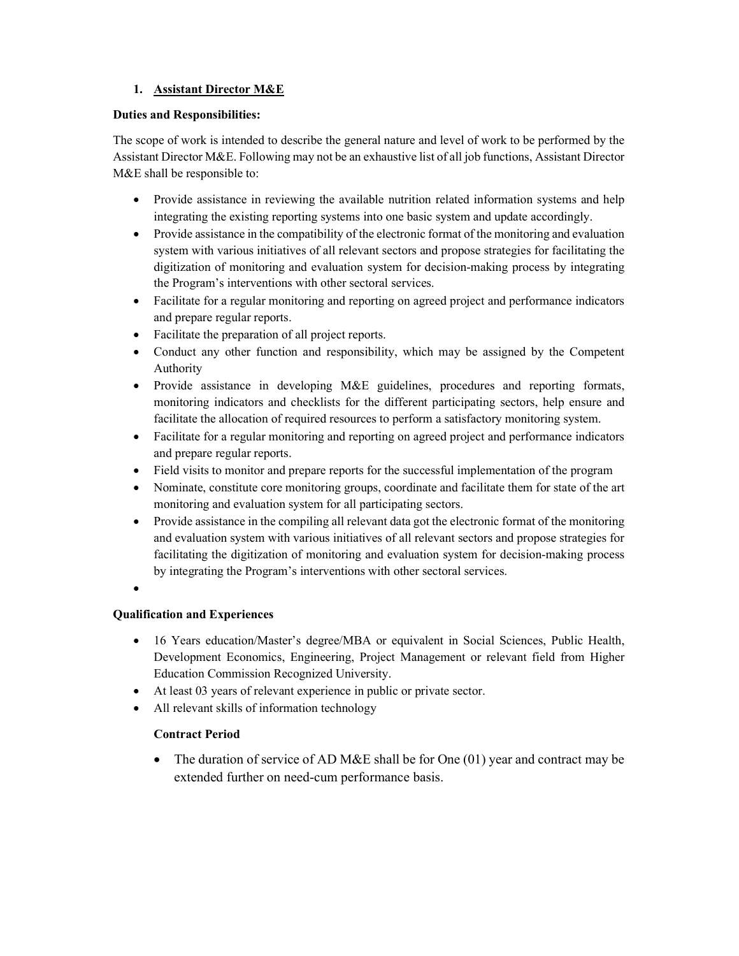# 1. Assistant Director M&E

### Duties and Responsibilities:

The scope of work is intended to describe the general nature and level of work to be performed by the Assistant Director M&E. Following may not be an exhaustive list of all job functions, Assistant Director M&E shall be responsible to:

- Provide assistance in reviewing the available nutrition related information systems and help integrating the existing reporting systems into one basic system and update accordingly.
- Provide assistance in the compatibility of the electronic format of the monitoring and evaluation system with various initiatives of all relevant sectors and propose strategies for facilitating the digitization of monitoring and evaluation system for decision-making process by integrating the Program's interventions with other sectoral services.
- Facilitate for a regular monitoring and reporting on agreed project and performance indicators and prepare regular reports.
- Facilitate the preparation of all project reports.
- Conduct any other function and responsibility, which may be assigned by the Competent Authority
- Provide assistance in developing M&E guidelines, procedures and reporting formats, monitoring indicators and checklists for the different participating sectors, help ensure and facilitate the allocation of required resources to perform a satisfactory monitoring system.
- Facilitate for a regular monitoring and reporting on agreed project and performance indicators and prepare regular reports.
- Field visits to monitor and prepare reports for the successful implementation of the program
- Nominate, constitute core monitoring groups, coordinate and facilitate them for state of the art monitoring and evaluation system for all participating sectors.
- Provide assistance in the compiling all relevant data got the electronic format of the monitoring and evaluation system with various initiatives of all relevant sectors and propose strategies for facilitating the digitization of monitoring and evaluation system for decision-making process by integrating the Program's interventions with other sectoral services.
- $\bullet$

## Qualification and Experiences

- 16 Years education/Master's degree/MBA or equivalent in Social Sciences, Public Health, Development Economics, Engineering, Project Management or relevant field from Higher Education Commission Recognized University.
- At least 03 years of relevant experience in public or private sector.
- All relevant skills of information technology

## Contract Period

• The duration of service of AD M&E shall be for One (01) year and contract may be extended further on need-cum performance basis.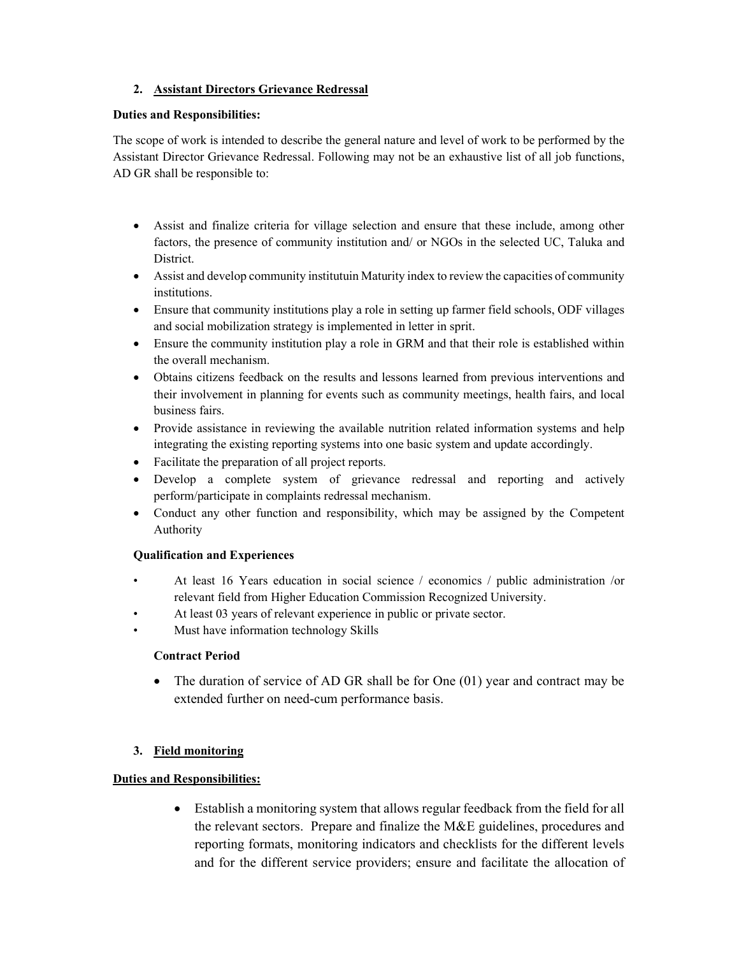# 2. Assistant Directors Grievance Redressal

#### Duties and Responsibilities:

The scope of work is intended to describe the general nature and level of work to be performed by the Assistant Director Grievance Redressal. Following may not be an exhaustive list of all job functions, AD GR shall be responsible to:

- Assist and finalize criteria for village selection and ensure that these include, among other factors, the presence of community institution and/ or NGOs in the selected UC, Taluka and District.
- Assist and develop community institutuin Maturity index to review the capacities of community institutions.
- Ensure that community institutions play a role in setting up farmer field schools, ODF villages and social mobilization strategy is implemented in letter in sprit.
- Ensure the community institution play a role in GRM and that their role is established within the overall mechanism.
- Obtains citizens feedback on the results and lessons learned from previous interventions and their involvement in planning for events such as community meetings, health fairs, and local business fairs.
- Provide assistance in reviewing the available nutrition related information systems and help integrating the existing reporting systems into one basic system and update accordingly.
- Facilitate the preparation of all project reports.
- Develop a complete system of grievance redressal and reporting and actively perform/participate in complaints redressal mechanism.
- Conduct any other function and responsibility, which may be assigned by the Competent Authority

## Qualification and Experiences

- At least 16 Years education in social science / economics / public administration /or relevant field from Higher Education Commission Recognized University.
- At least 03 years of relevant experience in public or private sector.
- Must have information technology Skills

## Contract Period

 The duration of service of AD GR shall be for One (01) year and contract may be extended further on need-cum performance basis.

## 3. Field monitoring

## Duties and Responsibilities:

 Establish a monitoring system that allows regular feedback from the field for all the relevant sectors. Prepare and finalize the M&E guidelines, procedures and reporting formats, monitoring indicators and checklists for the different levels and for the different service providers; ensure and facilitate the allocation of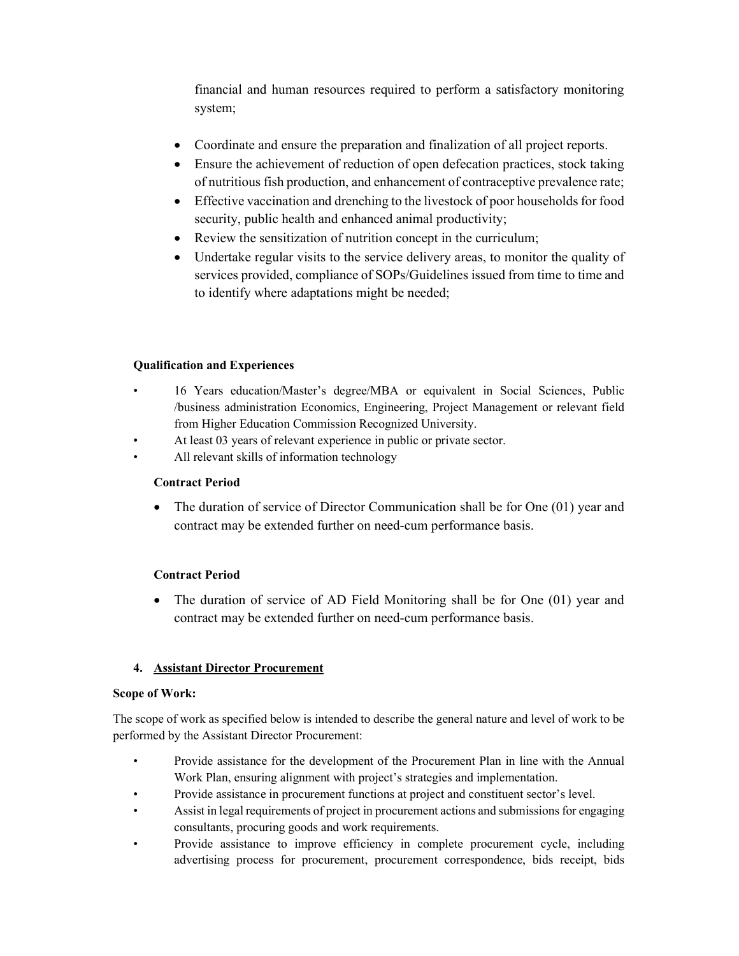financial and human resources required to perform a satisfactory monitoring system;

- Coordinate and ensure the preparation and finalization of all project reports.
- Ensure the achievement of reduction of open defecation practices, stock taking of nutritious fish production, and enhancement of contraceptive prevalence rate;
- Effective vaccination and drenching to the livestock of poor households for food security, public health and enhanced animal productivity;
- Review the sensitization of nutrition concept in the curriculum;
- Undertake regular visits to the service delivery areas, to monitor the quality of services provided, compliance of SOPs/Guidelines issued from time to time and to identify where adaptations might be needed;

# Qualification and Experiences

- 16 Years education/Master's degree/MBA or equivalent in Social Sciences, Public /business administration Economics, Engineering, Project Management or relevant field from Higher Education Commission Recognized University.
- At least 03 years of relevant experience in public or private sector.
- All relevant skills of information technology

## Contract Period

• The duration of service of Director Communication shall be for One (01) year and contract may be extended further on need-cum performance basis.

## Contract Period

 The duration of service of AD Field Monitoring shall be for One (01) year and contract may be extended further on need-cum performance basis.

# 4. Assistant Director Procurement

## Scope of Work:

The scope of work as specified below is intended to describe the general nature and level of work to be performed by the Assistant Director Procurement:

- Provide assistance for the development of the Procurement Plan in line with the Annual Work Plan, ensuring alignment with project's strategies and implementation.
- Provide assistance in procurement functions at project and constituent sector's level.
- Assist in legal requirements of project in procurement actions and submissions for engaging consultants, procuring goods and work requirements.
- Provide assistance to improve efficiency in complete procurement cycle, including advertising process for procurement, procurement correspondence, bids receipt, bids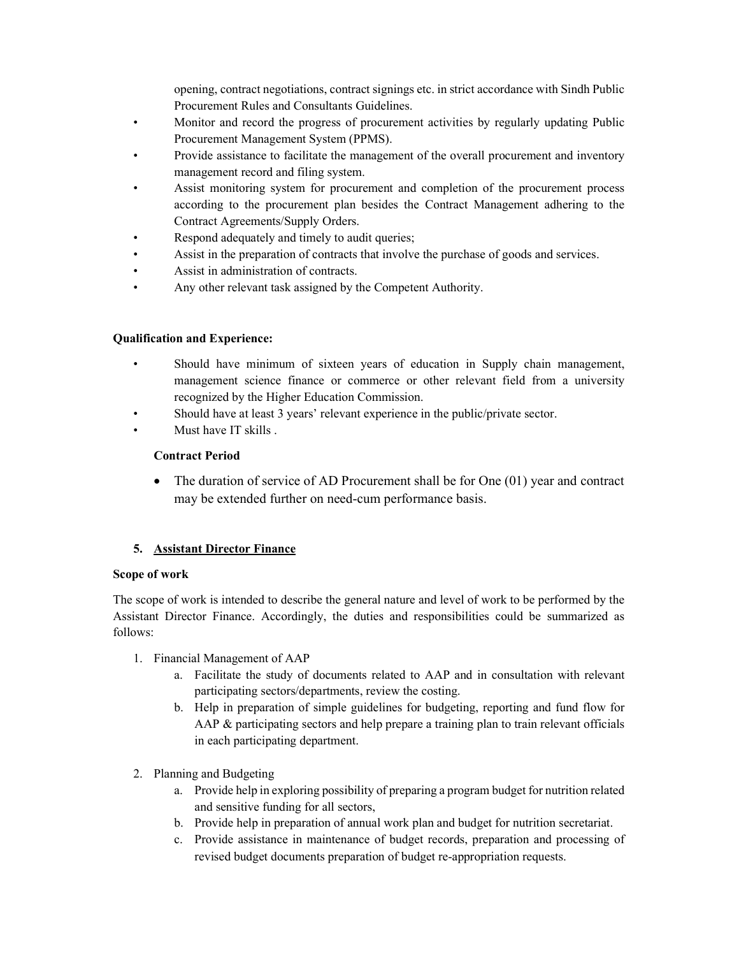opening, contract negotiations, contract signings etc. in strict accordance with Sindh Public Procurement Rules and Consultants Guidelines.

- Monitor and record the progress of procurement activities by regularly updating Public Procurement Management System (PPMS).
- Provide assistance to facilitate the management of the overall procurement and inventory management record and filing system.
- Assist monitoring system for procurement and completion of the procurement process according to the procurement plan besides the Contract Management adhering to the Contract Agreements/Supply Orders.
- Respond adequately and timely to audit queries;
- Assist in the preparation of contracts that involve the purchase of goods and services.
- Assist in administration of contracts.
- Any other relevant task assigned by the Competent Authority.

## Qualification and Experience:

- Should have minimum of sixteen years of education in Supply chain management, management science finance or commerce or other relevant field from a university recognized by the Higher Education Commission.
- Should have at least 3 years' relevant experience in the public/private sector.
- Must have IT skills .

## Contract Period

 The duration of service of AD Procurement shall be for One (01) year and contract may be extended further on need-cum performance basis.

## 5. Assistant Director Finance

#### Scope of work

The scope of work is intended to describe the general nature and level of work to be performed by the Assistant Director Finance. Accordingly, the duties and responsibilities could be summarized as follows:

- 1. Financial Management of AAP
	- a. Facilitate the study of documents related to AAP and in consultation with relevant participating sectors/departments, review the costing.
	- b. Help in preparation of simple guidelines for budgeting, reporting and fund flow for AAP & participating sectors and help prepare a training plan to train relevant officials in each participating department.
- 2. Planning and Budgeting
	- a. Provide help in exploring possibility of preparing a program budget for nutrition related and sensitive funding for all sectors,
	- b. Provide help in preparation of annual work plan and budget for nutrition secretariat.
	- c. Provide assistance in maintenance of budget records, preparation and processing of revised budget documents preparation of budget re-appropriation requests.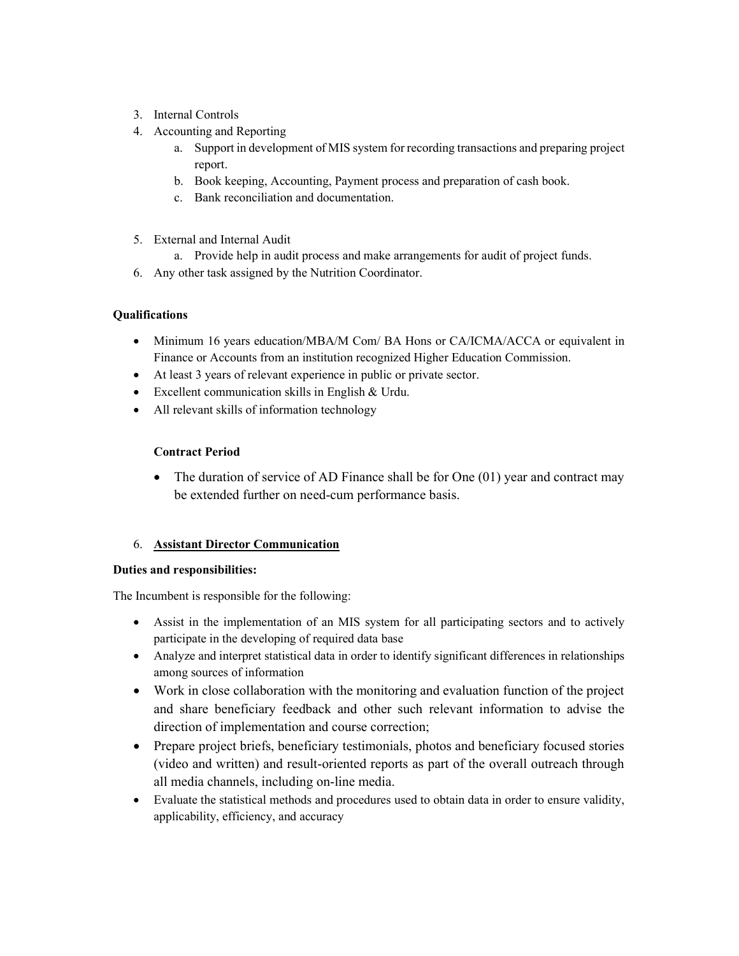- 3. Internal Controls
- 4. Accounting and Reporting
	- a. Support in development of MIS system for recording transactions and preparing project report.
	- b. Book keeping, Accounting, Payment process and preparation of cash book.
	- c. Bank reconciliation and documentation.
- 5. External and Internal Audit
	- a. Provide help in audit process and make arrangements for audit of project funds.
- 6. Any other task assigned by the Nutrition Coordinator.

# **Oualifications**

- Minimum 16 years education/MBA/M Com/ BA Hons or CA/ICMA/ACCA or equivalent in Finance or Accounts from an institution recognized Higher Education Commission.
- At least 3 years of relevant experience in public or private sector.
- Excellent communication skills in English & Urdu.
- All relevant skills of information technology

# Contract Period

 The duration of service of AD Finance shall be for One (01) year and contract may be extended further on need-cum performance basis.

## 6. Assistant Director Communication

## Duties and responsibilities:

The Incumbent is responsible for the following:

- Assist in the implementation of an MIS system for all participating sectors and to actively participate in the developing of required data base
- Analyze and interpret statistical data in order to identify significant differences in relationships among sources of information
- Work in close collaboration with the monitoring and evaluation function of the project and share beneficiary feedback and other such relevant information to advise the direction of implementation and course correction;
- Prepare project briefs, beneficiary testimonials, photos and beneficiary focused stories (video and written) and result-oriented reports as part of the overall outreach through all media channels, including on-line media.
- Evaluate the statistical methods and procedures used to obtain data in order to ensure validity, applicability, efficiency, and accuracy